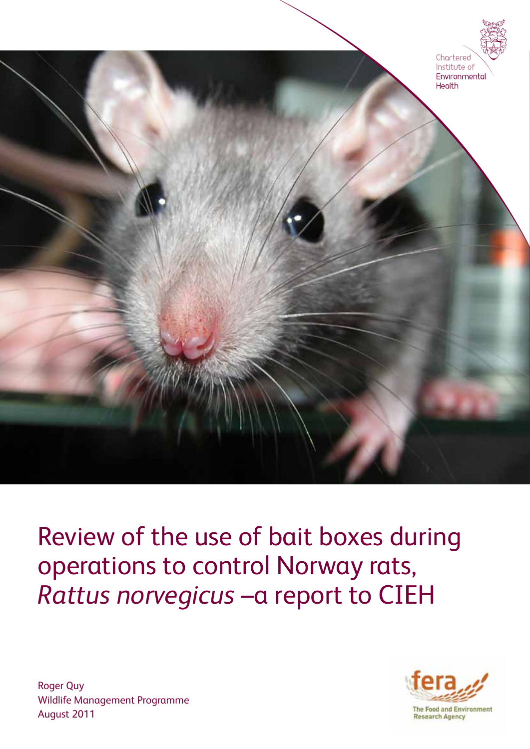

Review of the use of bait boxes during operations to control Norway rats, *Rattus norvegicus* –a report to CIEH



**Research Agency** 

Roger Quy Wildlife Management Programme August 2011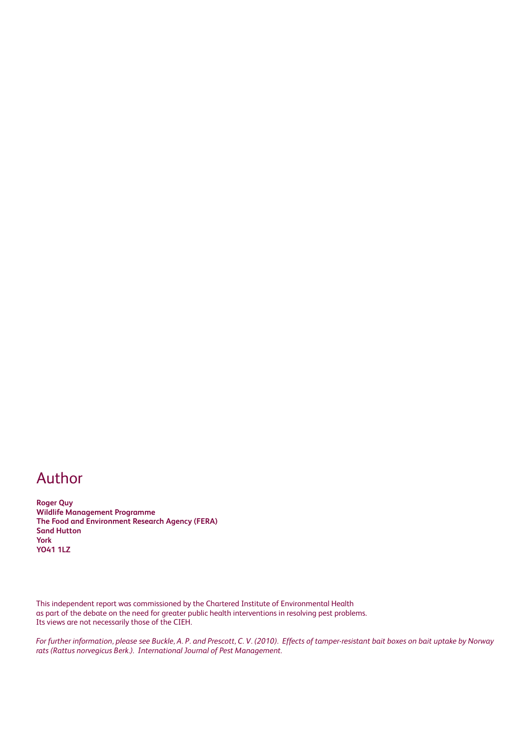#### Author

**Roger Quy Wildlife Management Programme The Food and Environment Research Agency (FERA) Sand Hutton York YO41 1LZ**

This independent report was commissioned by the Chartered Institute of Environmental Health as part of the debate on the need for greater public health interventions in resolving pest problems. Its views are not necessarily those of the CIEH.

*For further information, please see Buckle, A. P. and Prescott, C. V. (2010). Effects of tamper-resistant bait boxes on bait uptake by Norway rats (Rattus norvegicus Berk.). International Journal of Pest Management.*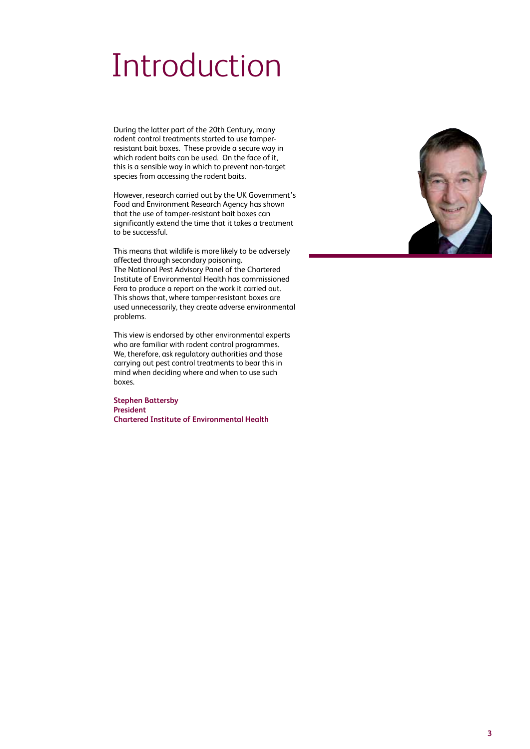#### Introduction

During the latter part of the 20th Century, many rodent control treatments started to use tamperresistant bait boxes. These provide a secure way in which rodent baits can be used. On the face of it, this is a sensible way in which to prevent non-target species from accessing the rodent baits.

However, research carried out by the UK Government's Food and Environment Research Agency has shown that the use of tamper-resistant bait boxes can significantly extend the time that it takes a treatment to be successful.

This means that wildlife is more likely to be adversely affected through secondary poisoning. The National Pest Advisory Panel of the Chartered Institute of Environmental Health has commissioned Fera to produce a report on the work it carried out. This shows that, where tamper-resistant boxes are used unnecessarily, they create adverse environmental problems.

This view is endorsed by other environmental experts who are familiar with rodent control programmes. We, therefore, ask regulatory authorities and those carrying out pest control treatments to bear this in mind when deciding where and when to use such boxes.

**Stephen Battersby President Chartered Institute of Environmental Health**

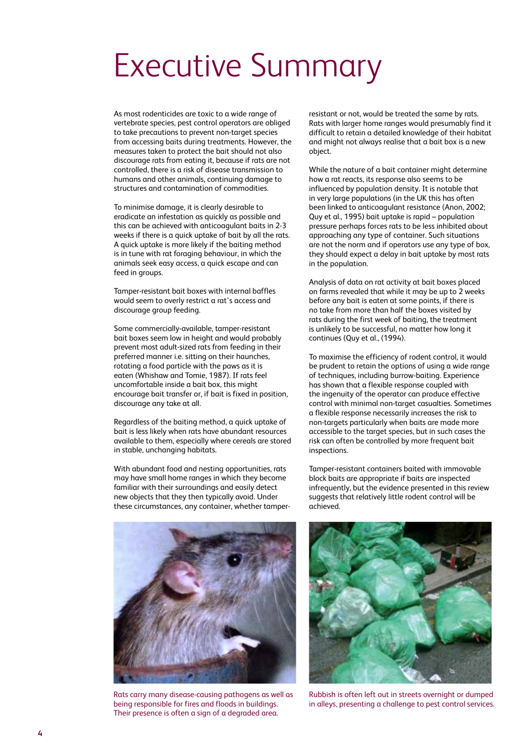### Executive Summary

As most rodenticides are toxic to a wide range of vertebrate species, pest control operators are obliged to take precautions to prevent non-target species from accessing baits during treatments. However, the measures taken to protect the bait should not also discourage rats from eating it, because if rats are not controlled, there is a risk of disease transmission to humans and other animals, continuing damage to structures and contamination of commodities.

To minimise damage, it is clearly desirable to eradicate an infestation as quickly as possible and this can be achieved with anticoagulant baits in 2-3 weeks if there is a quick uptake of bait by all the rats. A quick uptake is more likely if the baiting method is in tune with rat foraging behaviour, in which the animals seek easy access, a quick escape and can feed in groups.

Tamper-resistant bait boxes with internal baffles would seem to overly restrict a rat's access and discourage group feeding.

Some commercially-available, tamper-resistant bait boxes seem low in height and would probably prevent most adult-sized rats from feeding in their preferred manner i.e. sitting on their haunches, rotating a food particle with the paws as it is eaten (Whishaw and Tomie, 1987). If rats feel uncomfortable inside a bait box, this might encourage bait transfer or, if bait is fixed in position, discourage any take at all.

Regardless of the baiting method, a quick uptake of bait is less likely when rats have abundant resources available to them, especially where cereals are stored in stable, unchanging habitats.

With abundant food and nesting opportunities, rats may have small home ranges in which they become familiar with their surroundings and easily detect new objects that they then typically avoid. Under these circumstances, any container, whether tamper-



Rats carry many disease-causing pathogens as well as being responsible for fires and floods in buildings. Their presence is often a sign of a degraded area.

resistant or not, would be treated the same by rats. Rats with larger home ranges would presumably find it difficult to retain a detailed knowledge of their habitat and might not always realise that a bait box is a new object.

While the nature of a bait container might determine how a rat reacts, its response also seems to be influenced by population density. It is notable that in very large populations (in the UK this has often been linked to anticoagulant resistance (Anon, 2002; Quy et al., 1995) bait uptake is rapid – population pressure perhaps forces rats to be less inhibited about approaching any type of container. Such situations are not the norm and if operators use any type of box, they should expect a delay in bait uptake by most rats in the population.

Analysis of data on rat activity at bait boxes placed on farms revealed that while it may be up to 2 weeks before any bait is eaten at some points, if there is no take from more than half the boxes visited by rats during the first week of baiting, the treatment is unlikely to be successful, no matter how long it continues (Quy et al., (1994).

To maximise the efficiency of rodent control, it would be prudent to retain the options of using a wide range of techniques, including burrow-baiting. Experience has shown that a flexible response coupled with the ingenuity of the operator can produce effective control with minimal non-target casualties. Sometimes a flexible response necessarily increases the risk to non-targets particularly when baits are made more accessible to the target species, but in such cases the risk can often be controlled by more frequent bait inspections.

Tamper-resistant containers baited with immovable block baits are appropriate if baits are inspected infrequently, but the evidence presented in this review suggests that relatively little rodent control will be achieved.



Rubbish is often left out in streets overnight or dumped in alleys, presenting a challenge to pest control services.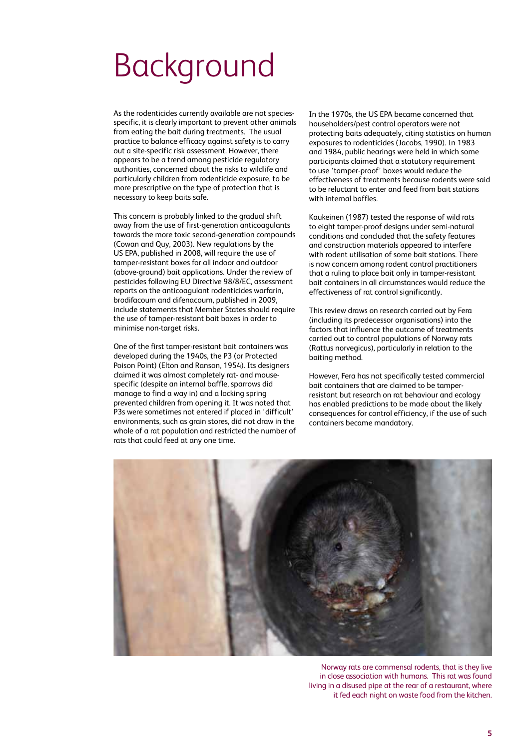### Background

As the rodenticides currently available are not speciesspecific, it is clearly important to prevent other animals from eating the bait during treatments. The usual practice to balance efficacy against safety is to carry out a site-specific risk assessment. However, there appears to be a trend among pesticide regulatory authorities, concerned about the risks to wildlife and particularly children from rodenticide exposure, to be more prescriptive on the type of protection that is necessary to keep baits safe.

This concern is probably linked to the gradual shift away from the use of first-generation anticoagulants towards the more toxic second-generation compounds (Cowan and Quy, 2003). New regulations by the US EPA, published in 2008, will require the use of tamper-resistant boxes for all indoor and outdoor (above-ground) bait applications. Under the review of pesticides following EU Directive 98/8/EC, assessment reports on the anticoagulant rodenticides warfarin, brodifacoum and difenacoum, published in 2009, include statements that Member States should require the use of tamper-resistant bait boxes in order to minimise non-target risks.

One of the first tamper-resistant bait containers was developed during the 1940s, the P3 (or Protected Poison Point) (Elton and Ranson, 1954). Its designers claimed it was almost completely rat- and mousespecific (despite an internal baffle, sparrows did manage to find a way in) and a locking spring prevented children from opening it. It was noted that P3s were sometimes not entered if placed in 'difficult' environments, such as grain stores, did not draw in the whole of a rat population and restricted the number of rats that could feed at any one time.

In the 1970s, the US EPA became concerned that householders/pest control operators were not protecting baits adequately, citing statistics on human exposures to rodenticides (Jacobs, 1990). In 1983 and 1984, public hearings were held in which some participants claimed that a statutory requirement to use 'tamper-proof' boxes would reduce the effectiveness of treatments because rodents were said to be reluctant to enter and feed from bait stations with internal baffles.

Kaukeinen (1987) tested the response of wild rats to eight tamper-proof designs under semi-natural conditions and concluded that the safety features and construction materials appeared to interfere with rodent utilisation of some bait stations. There is now concern among rodent control practitioners that a ruling to place bait only in tamper-resistant bait containers in all circumstances would reduce the effectiveness of rat control significantly.

This review draws on research carried out by Fera (including its predecessor organisations) into the factors that influence the outcome of treatments carried out to control populations of Norway rats (Rattus norvegicus), particularly in relation to the baiting method.

However, Fera has not specifically tested commercial bait containers that are claimed to be tamperresistant but research on rat behaviour and ecology has enabled predictions to be made about the likely consequences for control efficiency, if the use of such containers became mandatory.



Norway rats are commensal rodents, that is they live in close association with humans. This rat was found living in a disused pipe at the rear of a restaurant, where it fed each night on waste food from the kitchen.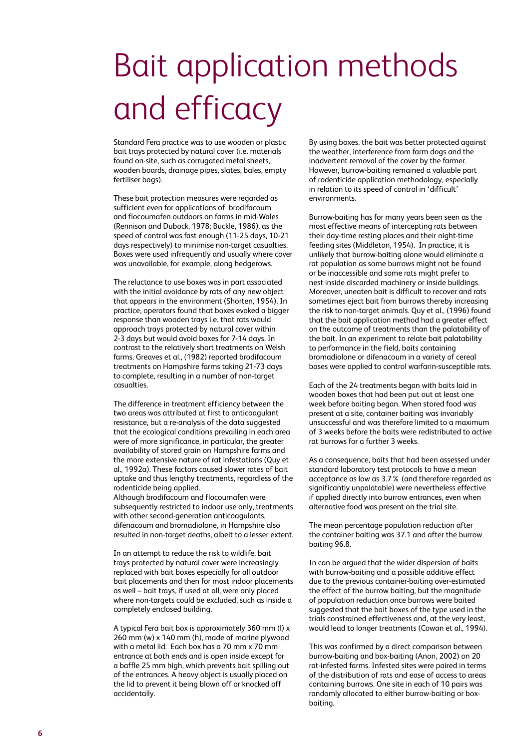# Bait application methods and efficacy

Standard Fera practice was to use wooden or plastic bait trays protected by natural cover (i.e. materials found on-site, such as corrugated metal sheets, wooden boards, drainage pipes, slates, bales, empty fertiliser bags).

These bait protection measures were regarded as sufficient even for applications of brodifacoum and flocoumafen outdoors on farms in mid-Wales (Rennison and Dubock, 1978; Buckle, 1986), as the speed of control was fast enough (11-25 days, 10-21 days respectively) to minimise non-target casualties. Boxes were used infrequently and usually where cover was unavailable, for example, along hedgerows.

The reluctance to use boxes was in part associated with the initial avoidance by rats of any new object that appears in the environment (Shorten, 1954). In practice, operators found that boxes evoked a bigger response than wooden trays i.e. that rats would approach trays protected by natural cover within 2-3 days but would avoid boxes for 7-14 days. In contrast to the relatively short treatments on Welsh farms, Greaves et al., (1982) reported brodifacoum treatments on Hampshire farms taking 21-73 days to complete, resulting in a number of non-target casualties.

The difference in treatment efficiency between the two areas was attributed at first to anticoagulant resistance, but a re-analysis of the data suggested that the ecological conditions prevailing in each area were of more significance, in particular, the greater availability of stored grain on Hampshire farms and the more extensive nature of rat infestations (Quy et al., 1992a). These factors caused slower rates of bait uptake and thus lengthy treatments, regardless of the rodenticide being applied.

Although brodifacoum and flocoumafen were subsequently restricted to indoor use only, treatments with other second-generation anticoagulants, difenacoum and bromadiolone, in Hampshire also resulted in non-target deaths, albeit to a lesser extent.

In an attempt to reduce the risk to wildlife, bait trays protected by natural cover were increasingly replaced with bait boxes especially for all outdoor bait placements and then for most indoor placements as well – bait trays, if used at all, were only placed where non-targets could be excluded, such as inside a completely enclosed building.

A typical Fera bait box is approximately 360 mm (l) x 260 mm (w) x 140 mm (h), made of marine plywood with a metal lid. Each box has a 70 mm x 70 mm entrance at both ends and is open inside except for a baffle 25 mm high, which prevents bait spilling out of the entrances. A heavy object is usually placed on the lid to prevent it being blown off or knocked off accidentally.

By using boxes, the bait was better protected against the weather, interference from farm dogs and the inadvertent removal of the cover by the farmer. However, burrow-baiting remained a valuable part of rodenticide application methodology, especially in relation to its speed of control in 'difficult' environments.

Burrow-baiting has for many years been seen as the most effective means of intercepting rats between their day-time resting places and their night-time feeding sites (Middleton, 1954). In practice, it is unlikely that burrow-baiting alone would eliminate a rat population as some burrows might not be found or be inaccessible and some rats might prefer to nest inside discarded machinery or inside buildings. Moreover, uneaten bait is difficult to recover and rats sometimes eject bait from burrows thereby increasing the risk to non-target animals. Quy et al., (1996) found that the bait application method had a greater effect on the outcome of treatments than the palatability of the bait. In an experiment to relate bait palatability to performance in the field, baits containing bromadiolone or difenacoum in a variety of cereal bases were applied to control warfarin-susceptible rats.

Each of the 24 treatments began with baits laid in wooden boxes that had been put out at least one week before baiting began. When stored food was present at a site, container baiting was invariably unsuccessful and was therefore limited to a maximum of 3 weeks before the baits were redistributed to active rat burrows for a further 3 weeks.

As a consequence, baits that had been assessed under standard laboratory test protocols to have a mean acceptance as low as 3.7% (and therefore regarded as significantly unpalatable) were nevertheless effective if applied directly into burrow entrances, even when alternative food was present on the trial site.

The mean percentage population reduction after the container baiting was 37.1 and after the burrow baiting 96.8.

In can be argued that the wider dispersion of baits with burrow-baiting and a possible additive effect due to the previous container-baiting over-estimated the effect of the burrow baiting, but the magnitude of population reduction once burrows were baited suggested that the bait boxes of the type used in the trials constrained effectiveness and, at the very least, would lead to longer treatments (Cowan et al., 1994).

This was confirmed by a direct comparison between burrow-baiting and box-baiting (Anon, 2002) on 20 rat-infested farms. Infested sites were paired in terms of the distribution of rats and ease of access to areas containing burrows. One site in each of 10 pairs was randomly allocated to either burrow-baiting or boxbaiting.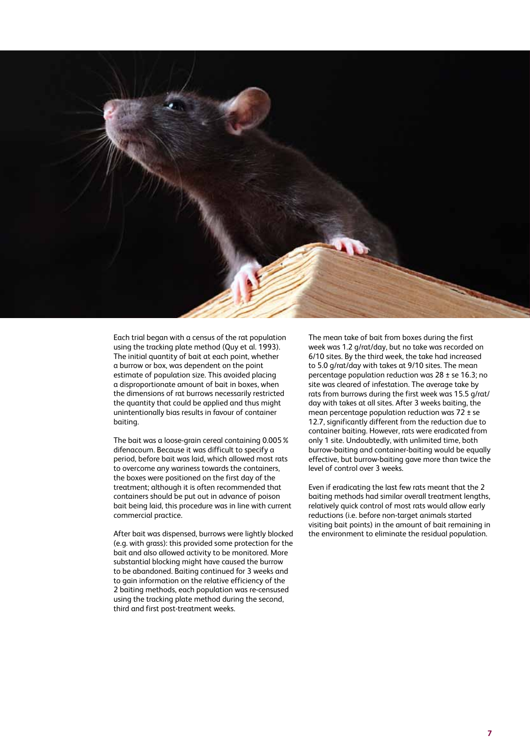

Each trial began with a census of the rat population using the tracking plate method (Quy et al. 1993). The initial quantity of bait at each point, whether a burrow or box, was dependent on the point estimate of population size. This avoided placing a disproportionate amount of bait in boxes, when the dimensions of rat burrows necessarily restricted the quantity that could be applied and thus might unintentionally bias results in favour of container baiting.

The bait was a loose-grain cereal containing 0.005% difenacoum. Because it was difficult to specify a period, before bait was laid, which allowed most rats to overcome any wariness towards the containers, the boxes were positioned on the first day of the treatment; although it is often recommended that containers should be put out in advance of poison bait being laid, this procedure was in line with current commercial practice.

After bait was dispensed, burrows were lightly blocked (e.g. with grass): this provided some protection for the bait and also allowed activity to be monitored. More substantial blocking might have caused the burrow to be abandoned. Baiting continued for 3 weeks and to gain information on the relative efficiency of the 2 baiting methods, each population was re-censused using the tracking plate method during the second, third and first post-treatment weeks.

The mean take of bait from boxes during the first week was 1.2 g/rat/day, but no take was recorded on 6/10 sites. By the third week, the take had increased to 5.0 g/rat/day with takes at 9/10 sites. The mean percentage population reduction was 28 ± se 16.3; no site was cleared of infestation. The average take by rats from burrows during the first week was 15.5 g/rat/ day with takes at all sites. After 3 weeks baiting, the mean percentage population reduction was  $72 \pm$  se 12.7, significantly different from the reduction due to container baiting. However, rats were eradicated from only 1 site. Undoubtedly, with unlimited time, both burrow-baiting and container-baiting would be equally effective, but burrow-baiting gave more than twice the level of control over 3 weeks.

Even if eradicating the last few rats meant that the 2 baiting methods had similar overall treatment lengths, relatively quick control of most rats would allow early reductions (i.e. before non-target animals started visiting bait points) in the amount of bait remaining in the environment to eliminate the residual population.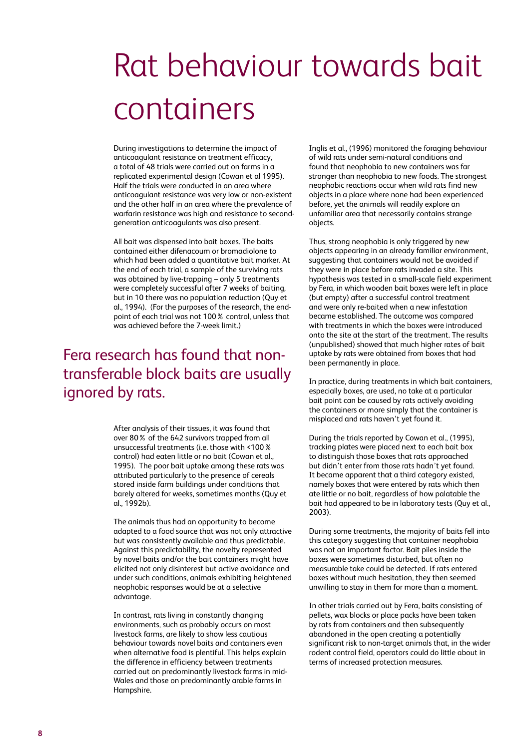## Rat behaviour towards bait containers

During investigations to determine the impact of anticoagulant resistance on treatment efficacy, a total of 48 trials were carried out on farms in a replicated experimental design (Cowan et al 1995). Half the trials were conducted in an area where anticoagulant resistance was very low or non-existent and the other half in an area where the prevalence of warfarin resistance was high and resistance to secondgeneration anticoagulants was also present.

All bait was dispensed into bait boxes. The baits contained either difenacoum or bromadiolone to which had been added a quantitative bait marker. At the end of each trial, a sample of the surviving rats was obtained by live-trapping – only 5 treatments were completely successful after 7 weeks of baiting, but in 10 there was no population reduction (Quy et al., 1994). (For the purposes of the research, the endpoint of each trial was not 100% control, unless that was achieved before the 7-week limit.)

#### Fera research has found that nontransferable block baits are usually ignored by rats.

After analysis of their tissues, it was found that over 80% of the 642 survivors trapped from all unsuccessful treatments (i.e. those with <100% control) had eaten little or no bait (Cowan et al., 1995). The poor bait uptake among these rats was attributed particularly to the presence of cereals stored inside farm buildings under conditions that barely altered for weeks, sometimes months (Quy et al., 1992b).

The animals thus had an opportunity to become adapted to a food source that was not only attractive but was consistently available and thus predictable. Against this predictability, the novelty represented by novel baits and/or the bait containers might have elicited not only disinterest but active avoidance and under such conditions, animals exhibiting heightened neophobic responses would be at a selective advantage.

In contrast, rats living in constantly changing environments, such as probably occurs on most livestock farms, are likely to show less cautious behaviour towards novel baits and containers even when alternative food is plentiful. This helps explain the difference in efficiency between treatments carried out on predominantly livestock farms in mid-Wales and those on predominantly arable farms in Hampshire.

Inglis et al., (1996) monitored the foraging behaviour of wild rats under semi-natural conditions and found that neophobia to new containers was far stronger than neophobia to new foods. The strongest neophobic reactions occur when wild rats find new objects in a place where none had been experienced before, yet the animals will readily explore an unfamiliar area that necessarily contains strange objects.

Thus, strong neophobia is only triggered by new objects appearing in an already familiar environment, suggesting that containers would not be avoided if they were in place before rats invaded a site. This hypothesis was tested in a small-scale field experiment by Fera, in which wooden bait boxes were left in place (but empty) after a successful control treatment and were only re-baited when a new infestation became established. The outcome was compared with treatments in which the boxes were introduced onto the site at the start of the treatment. The results (unpublished) showed that much higher rates of bait uptake by rats were obtained from boxes that had been permanently in place.

In practice, during treatments in which bait containers, especially boxes, are used, no take at a particular bait point can be caused by rats actively avoiding the containers or more simply that the container is misplaced and rats haven't yet found it.

During the trials reported by Cowan et al., (1995), tracking plates were placed next to each bait box to distinguish those boxes that rats approached but didn't enter from those rats hadn't yet found. It became apparent that a third category existed, namely boxes that were entered by rats which then ate little or no bait, regardless of how palatable the bait had appeared to be in laboratory tests (Quy et al., 2003).

During some treatments, the majority of baits fell into this category suggesting that container neophobia was not an important factor. Bait piles inside the boxes were sometimes disturbed, but often no measurable take could be detected. If rats entered boxes without much hesitation, they then seemed unwilling to stay in them for more than a moment.

In other trials carried out by Fera, baits consisting of pellets, wax blocks or place packs have been taken by rats from containers and then subsequently abandoned in the open creating a potentially significant risk to non-target animals that, in the wider rodent control field, operators could do little about in terms of increased protection measures.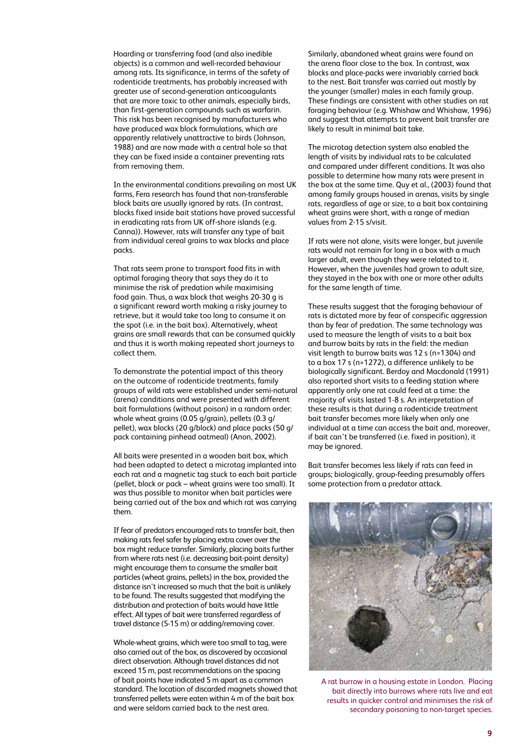Hoarding or transferring food (and also inedible objects) is a common and well-recorded behaviour among rats. Its significance, in terms of the safety of rodenticide treatments, has probably increased with greater use of second-generation anticoagulants that are more toxic to other animals, especially birds, than first-generation compounds such as warfarin. This risk has been recognised by manufacturers who have produced wax block formulations, which are apparently relatively unattractive to birds (Johnson, 1988) and are now made with a central hole so that they can be fixed inside a container preventing rats from removing them.

In the environmental conditions prevailing on most UK farms, Fera research has found that non-transferable block baits are usually ignored by rats. (In contrast, blocks fixed inside bait stations have proved successful in eradicating rats from UK off-shore islands (e.g. Canna)). However, rats will transfer any type of bait from individual cereal grains to wax blocks and place packs.

That rats seem prone to transport food fits in with optimal foraging theory that says they do it to minimise the risk of predation while maximising food gain. Thus, a wax block that weighs 20-30 g is a significant reward worth making a risky journey to retrieve, but it would take too long to consume it on the spot (i.e. in the bait box). Alternatively, wheat grains are small rewards that can be consumed quickly and thus it is worth making repeated short journeys to collect them.

To demonstrate the potential impact of this theory on the outcome of rodenticide treatments, family groups of wild rats were established under semi-natural (arena) conditions and were presented with different bait formulations (without poison) in a random order: whole wheat grains (0.05 g/grain), pellets (0.3 g/ pellet), wax blocks (20 g/block) and place packs (50 g/ pack containing pinhead oatmeal) (Anon, 2002).

All baits were presented in a wooden bait box, which had been adapted to detect a microtag implanted into each rat and a magnetic tag stuck to each bait particle (pellet, block or pack – wheat grains were too small). It was thus possible to monitor when bait particles were being carried out of the box and which rat was carrying them.

If fear of predators encouraged rats to transfer bait, then making rats feel safer by placing extra cover over the box might reduce transfer. Similarly, placing baits further from where rats nest (i.e. decreasing bait-point density) might encourage them to consume the smaller bait particles (wheat grains, pellets) in the box, provided the distance isn't increased so much that the bait is unlikely to be found. The results suggested that modifying the distribution and protection of baits would have little effect. All types of bait were transferred regardless of travel distance (5-15 m) or adding/removing cover.

Whole-wheat grains, which were too small to tag, were also carried out of the box, as discovered by occasional direct observation. Although travel distances did not exceed 15 m, past recommendations on the spacing of bait points have indicated 5 m apart as a common standard. The location of discarded magnets showed that transferred pellets were eaten within 4 m of the bait box and were seldom carried back to the nest area.

Similarly, abandoned wheat grains were found on the arena floor close to the box. In contrast, wax blocks and place-packs were invariably carried back to the nest. Bait transfer was carried out mostly by the younger (smaller) males in each family group. These findings are consistent with other studies on rat foraging behaviour (e.g. Whishaw and Whishaw, 1996) and suggest that attempts to prevent bait transfer are likely to result in minimal bait take.

The microtag detection system also enabled the length of visits by individual rats to be calculated and compared under different conditions. It was also possible to determine how many rats were present in the box at the same time. Quy et al., (2003) found that among family groups housed in arenas, visits by single rats, regardless of age or size, to a bait box containing wheat grains were short, with a range of median values from 2-15 s/visit.

If rats were not alone, visits were longer, but juvenile rats would not remain for long in a box with a much larger adult, even though they were related to it. However, when the juveniles had grown to adult size, they stayed in the box with one or more other adults for the same length of time.

These results suggest that the foraging behaviour of rats is dictated more by fear of conspecific aggression than by fear of predation. The same technology was used to measure the length of visits to a bait box and burrow baits by rats in the field: the median visit length to burrow baits was 12 s (n=1304) and to a box 17 s (n=1272), a difference unlikely to be biologically significant. Berdoy and Macdonald (1991) also reported short visits to a feeding station where apparently only one rat could feed at a time: the majority of visits lasted 1-8 s. An interpretation of these results is that during a rodenticide treatment bait transfer becomes more likely when only one individual at a time can access the bait and, moreover, if bait can't be transferred (i.e. fixed in position), it may be ignored.

Bait transfer becomes less likely if rats can feed in groups; biologically, group-feeding presumably offers some protection from a predator attack.



A rat burrow in a housing estate in London. Placing bait directly into burrows where rats live and eat results in quicker control and minimises the risk of secondary poisoning to non-target species.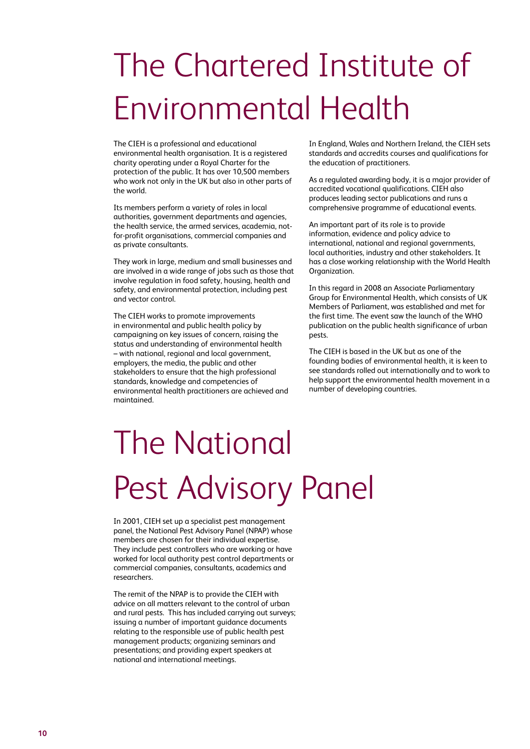# The Chartered Institute of Environmental Health

The CIEH is a professional and educational environmental health organisation. It is a registered charity operating under a Royal Charter for the protection of the public. It has over 10,500 members who work not only in the UK but also in other parts of the world.

Its members perform a variety of roles in local authorities, government departments and agencies, the health service, the armed services, academia, notfor-profit organisations, commercial companies and as private consultants.

They work in large, medium and small businesses and are involved in a wide range of jobs such as those that involve regulation in food safety, housing, health and safety, and environmental protection, including pest and vector control.

The CIEH works to promote improvements in environmental and public health policy by campaigning on key issues of concern, raising the status and understanding of environmental health – with national, regional and local government, employers, the media, the public and other stakeholders to ensure that the high professional standards, knowledge and competencies of environmental health practitioners are achieved and maintained.

In England, Wales and Northern Ireland, the CIEH sets standards and accredits courses and qualifications for the education of practitioners.

As a regulated awarding body, it is a major provider of accredited vocational qualifications. CIEH also produces leading sector publications and runs a comprehensive programme of educational events.

An important part of its role is to provide information, evidence and policy advice to international, national and regional governments, local authorities, industry and other stakeholders. It has a close working relationship with the World Health Organization.

In this regard in 2008 an Associate Parliamentary Group for Environmental Health, which consists of UK Members of Parliament, was established and met for the first time. The event saw the launch of the WHO publication on the public health significance of urban pests.

The CIEH is based in the UK but as one of the founding bodies of environmental health, it is keen to see standards rolled out internationally and to work to help support the environmental health movement in a number of developing countries.

# The National Pest Advisory Panel

In 2001, CIEH set up a specialist pest management panel, the National Pest Advisory Panel (NPAP) whose members are chosen for their individual expertise. They include pest controllers who are working or have worked for local authority pest control departments or commercial companies, consultants, academics and researchers.

The remit of the NPAP is to provide the CIEH with advice on all matters relevant to the control of urban and rural pests. This has included carrying out surveys; issuing a number of important guidance documents relating to the responsible use of public health pest management products; organizing seminars and presentations; and providing expert speakers at national and international meetings.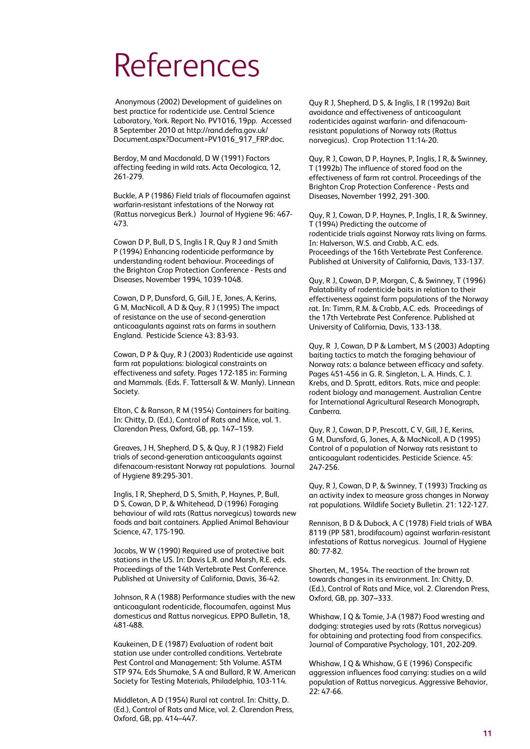#### References

 Anonymous (2002) Development of guidelines on best practice for rodenticide use. Central Science Laboratory, York. Report No. PV1016, 19pp. Accessed 8 September 2010 at http://rand.defra.gov.uk/ Document.aspx?Document=PV1016\_917\_FRP.doc.

Berdoy, M and Macdonald, D W (1991) Factors affecting feeding in wild rats. Acta Oecologica, 12, 261-279.

Buckle, A P (1986) Field trials of flocoumafen against warfarin-resistant infestations of the Norway rat (Rattus norvegicus Berk.) Journal of Hygiene 96: 467- 473.

Cowan D P, Bull, D S, Inglis I R, Quy R J and Smith P (1994) Enhancing rodenticide performance by understanding rodent behaviour. Proceedings of the Brighton Crop Protection Conference - Pests and Diseases, November 1994, 1039-1048.

Cowan, D P, Dunsford, G, Gill, J E, Jones, A, Kerins, G M, MacNicoll, A D & Quy, R J (1995) The impact of resistance on the use of second-generation anticoagulants against rats on farms in southern England. Pesticide Science 43: 83-93.

Cowan, D P & Quy, R J (2003) Rodenticide use against farm rat populations: biological constraints on effectiveness and safety. Pages 172-185 in: Farming and Mammals. (Eds. F. Tattersall & W. Manly). Linnean Society.

Elton, C & Ranson, R M (1954) Containers for baiting. In: Chitty, D. (Ed.), Control of Rats and Mice, vol. 1. Clarendon Press, Oxford, GB, pp. 147–159.

Greaves, J H, Shepherd, D S, & Quy, R J (1982) Field trials of second-generation anticoagulants against difenacoum-resistant Norway rat populations. Journal of Hygiene 89:295-301.

Inglis, I R, Shepherd, D S, Smith, P, Haynes, P, Bull, D S, Cowan, D P, & Whitehead, D (1996) Foraging behaviour of wild rats (Rattus norvegicus) towards new foods and bait containers. Applied Animal Behaviour Science, 47, 175-190.

Jacobs, W W (1990) Required use of protective bait stations in the US. In: Davis L.R. and Marsh, R.E. eds. Proceedings of the 14th Vertebrate Pest Conference. Published at University of California, Davis, 36-42.

Johnson, R A (1988) Performance studies with the new anticoagulant rodenticide, flocoumafen, against Mus domesticus and Rattus norvegicus. EPPO Bulletin, 18, 481-488.

Kaukeinen, D E (1987) Evaluation of rodent bait station use under controlled conditions. Vertebrate Pest Control and Management: 5th Volume. ASTM STP 974. Eds Shumake, S A and Bullard, R W. American Society for Testing Materials, Philadelphia, 103-114.

Middleton, A D (1954) Rural rat control. In: Chitty, D. (Ed.), Control of Rats and Mice, vol. 2. Clarendon Press, Oxford, GB, pp. 414–447.

Quy R J, Shepherd, D S, & Inglis, I R (1992a) Bait avoidance and effectiveness of anticoagulant rodenticides against warfarin- and difenacoumresistant populations of Norway rats (Rattus norvegicus). Crop Protection 11:14-20.

Quy, R J, Cowan, D P, Haynes, P, Inglis, I R, & Swinney, T (1992b) The influence of stored food on the effectiveness of farm rat control. Proceedings of the Brighton Crop Protection Conference - Pests and Diseases, November 1992, 291-300.

Quy, R J, Cowan, D P, Haynes, P, Inglis, I R, & Swinney, T (1994) Predicting the outcome of rodenticide trials against Norway rats living on farms. In: Halverson, W.S. and Crabb, A.C. eds. Proceedings of the 16th Vertebrate Pest Conference. Published at University of California, Davis, 133-137.

Quy, R J, Cowan, D P, Morgan, C, & Swinney, T (1996) Palatability of rodenticide baits in relation to their effectiveness against farm populations of the Norway rat. In: Timm, R.M. & Crabb, A.C. eds. Proceedings of the 17th Vertebrate Pest Conference. Published at University of California, Davis, 133-138.

Quy, R J, Cowan, D P & Lambert, M S (2003) Adapting baiting tactics to match the foraging behaviour of Norway rats: a balance between efficacy and safety. Pages 451-456 in G. R. Singleton, L. A. Hinds, C. J. Krebs, and D. Spratt, editors. Rats, mice and people: rodent biology and management. Australian Centre for International Agricultural Research Monograph, Canberra.

Quy, R J, Cowan, D P, Prescott, C V, Gill, J E, Kerins, G M, Dunsford, G, Jones, A, & MacNicoll, A D (1995) Control of a population of Norway rats resistant to anticoagulant rodenticides. Pesticide Science. 45: 247-256.

Quy, R J, Cowan, D P, & Swinney, T (1993) Tracking as an activity index to measure gross changes in Norway rat populations. Wildlife Society Bulletin. 21: 122-127.

Rennison, B D & Dubock, A C (1978) Field trials of WBA 8119 (PP 581, brodifacoum) against warfarin-resistant infestations of Rattus norvegicus. Journal of Hygiene 80: 77-82.

Shorten, M., 1954. The reaction of the brown rat towards changes in its environment. In: Chitty, D. (Ed.), Control of Rats and Mice, vol. 2. Clarendon Press, Oxford, GB, pp. 307–333.

Whishaw, I Q & Tomie, J-A (1987) Food wresting and dodging: strategies used by rats (Rattus norvegicus) for obtaining and protecting food from conspecifics. Journal of Comparative Psychology, 101, 202-209.

Whishaw, I Q & Whishaw, G E (1996) Conspecific aggression influences food carrying: studies on a wild population of Rattus norvegicus. Aggressive Behavior, 22: 47-66.